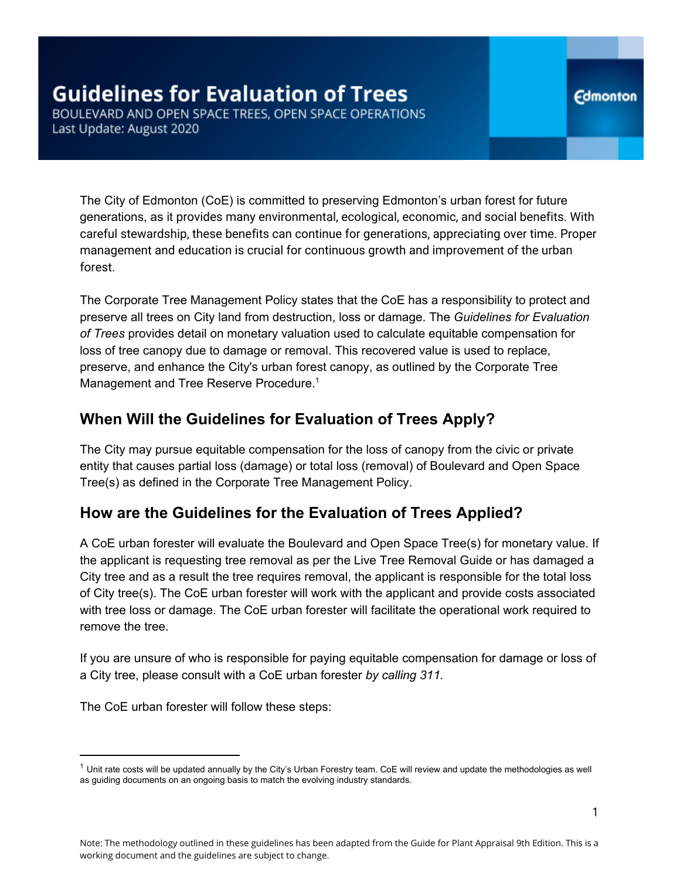The City of Edmonton (CoE) is committed to preserving Edmonton's urban forest for future generations, as it provides many environmental, ecological, economic, and social benefits. With careful stewardship, these benefits can continue for generations, appreciating over time. Proper management and education is crucial for continuous growth and improvement of the urban forest.

The Corporate Tree Management Policy states that the CoE has a responsibility to protect and preserve all trees on City land from destruction, loss or damage. The *Guidelines for Evaluation of Trees* provides detail on monetary valuation used to calculate equitable compensation for loss of tree canopy due to damage or removal. This recovered value is used to replace, preserve, and enhance the City's urban forest canopy, as outlined by the Corporate Tree Management and Tree Reserve Procedure.<sup>1</sup>

# **When Will the Guidelines for Evaluation of Trees Apply?**

The City may pursue equitable compensation for the loss of canopy from the civic or private entity that causes partial loss (damage) or total loss (removal) of Boulevard and Open Space Tree(s) as defined in the Corporate Tree Management Policy.

# **How are the Guidelines for the Evaluation of Trees Applied?**

A CoE urban forester will evaluate the Boulevard and Open Space Tree(s) for monetary value. If the applicant is requesting tree removal as per the Live Tree Removal Guide or has damaged a City tree and as a result the tree requires removal, the applicant is responsible for the total loss of City tree(s). The CoE urban forester will work with the applicant and provide costs associated with tree loss or damage. The CoE urban forester will facilitate the operational work required to remove the tree.

If you are unsure of who is responsible for paying equitable compensation for damage or loss of a City tree, please consult with a CoE urban forester *by calling 311.*

The CoE urban forester will follow these steps:

 $1$  Unit rate costs will be updated annually by the City's Urban Forestry team. CoE will review and update the methodologies as well as guiding documents on an ongoing basis to match the evolving industry standards.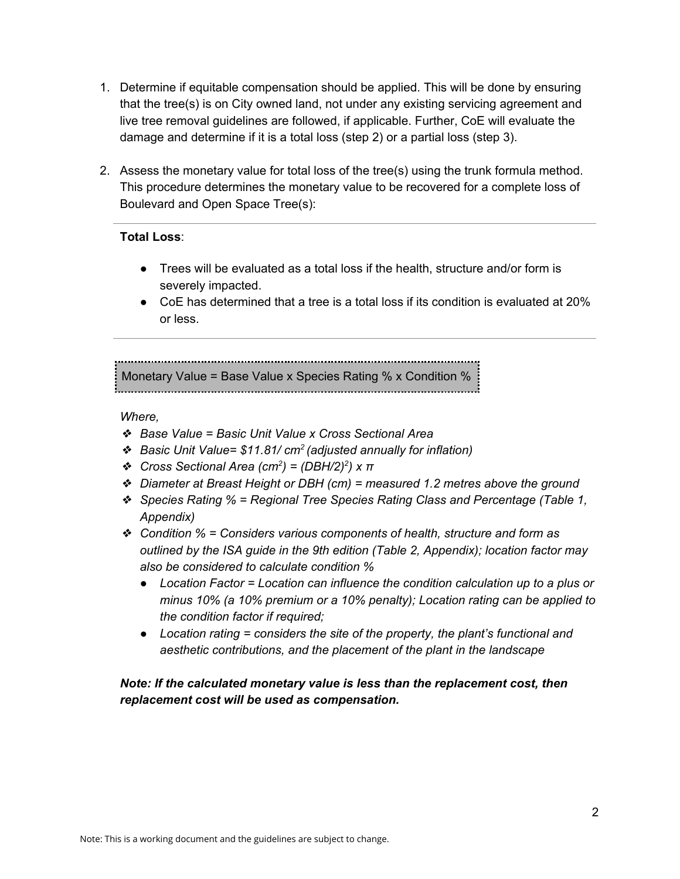- 1. Determine if equitable compensation should be applied. This will be done by ensuring that the tree(s) is on City owned land, not under any existing servicing agreement and live tree removal guidelines are followed, if applicable. Further, CoE will evaluate the damage and determine if it is a total loss (step 2) or a partial loss (step 3).
- 2. Assess the monetary value for total loss of the tree(s) using the trunk formula method. This procedure determines the monetary value to be recovered for a complete loss of Boulevard and Open Space Tree(s):

#### **Total Loss**:

- Trees will be evaluated as a total loss if the health, structure and/or form is severely impacted.
- $\bullet$  CoE has determined that a tree is a total loss if its condition is evaluated at 20% or less.

Monetary Value = Base Value x Species Rating % x Condition % 그 사람들은 그 사람들은 아이들의 사람들은 아이들의 사람들을 만들어 주었다. 이 사람들은 아이들의 사람들은 아이들의 사람들을 만들어 있다.

#### *Where,*

- ❖ *Base Value = Basic Unit Value x Cross Sectional Area*
- ❖ *Basic Unit Value= \$11.81/ cm<sup>2</sup> (adjusted annually for inflation)*
- ❖ *Cross Sectional Area (cm<sup>2</sup> ) = (DBH/2) 2 ) x π*
- ❖ *Diameter at Breast Height or DBH (cm) = measured 1.2 metres above the ground*
- ❖ *Species Rating % = Regional Tree Species Rating Class and Percentage (Table 1, Appendix)*
- ❖ *Condition % = Considers various components of health, structure and form as outlined by the ISA guide in the 9th edition (Table 2, Appendix); location factor may also be considered to calculate condition %*
	- *● Location Factor = Location can influence the condition calculation up to a plus or minus 10% (a 10% premium or a 10% penalty); Location rating can be applied to the condition factor if required;*
	- *● Location rating = considers the site of the property, the plant's functional and aesthetic contributions, and the placement of the plant in the landscape*

#### *Note: If the calculated monetary value is less than the replacement cost, then replacement cost will be used as compensation.*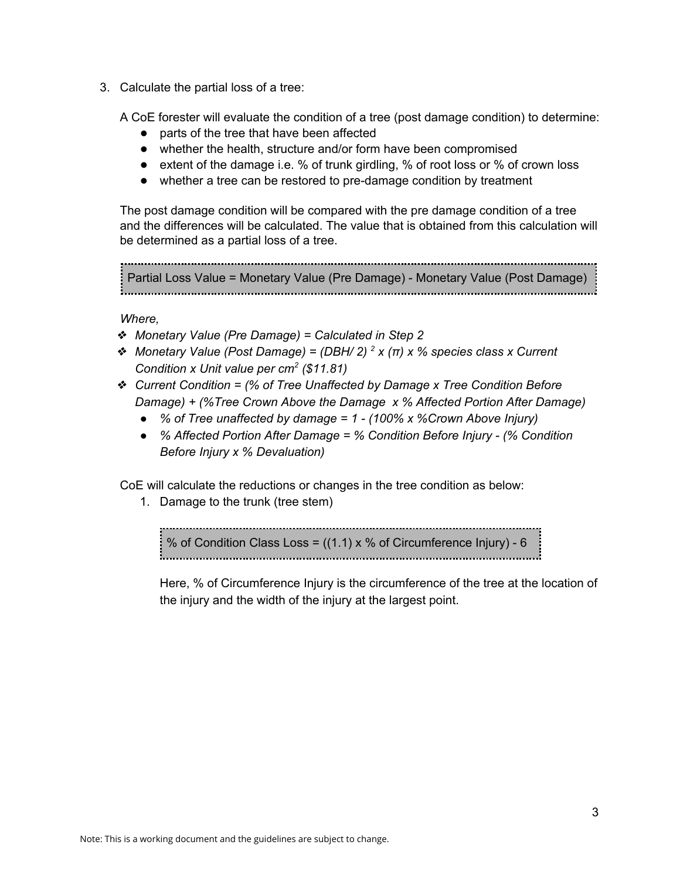3. Calculate the partial loss of a tree:

A CoE forester will evaluate the condition of a tree (post damage condition) to determine:

- parts of the tree that have been affected
- whether the health, structure and/or form have been compromised
- extent of the damage i.e. % of trunk girdling, % of root loss or % of crown loss
- whether a tree can be restored to pre-damage condition by treatment

The post damage condition will be compared with the pre damage condition of a tree and the differences will be calculated. The value that is obtained from this calculation will be determined as a partial loss of a tree.

```
Partial Loss Value = Monetary Value (Pre Damage) - Monetary Value (Post Damage)
```
*Where,*

- ❖ *Monetary Value (Pre Damage) = Calculated in Step 2*
- ❖ *Monetary Value (Post Damage) = (DBH/ 2) <sup>2</sup> x (π) x % species class x Current Condition x Unit value per cm<sup>2</sup> (\$11.81)*
- ❖ *Current Condition = (% of Tree Unaffected by Damage x Tree Condition Before Damage) + (%Tree Crown Above the Damage x % Affected Portion After Damage)*
	- *● % of Tree unaffected by damage = 1 - (100% x %Crown Above Injury)*
	- *● % Affected Portion After Damage = % Condition Before Injury - (% Condition Before Injury x % Devaluation)*

CoE will calculate the reductions or changes in the tree condition as below:

1. Damage to the trunk (tree stem)

% of Condition Class Loss =  $((1.1) \times %$  of Circumference Injury) - 6 

Here, % of Circumference Injury is the circumference of the tree at the location of the injury and the width of the injury at the largest point.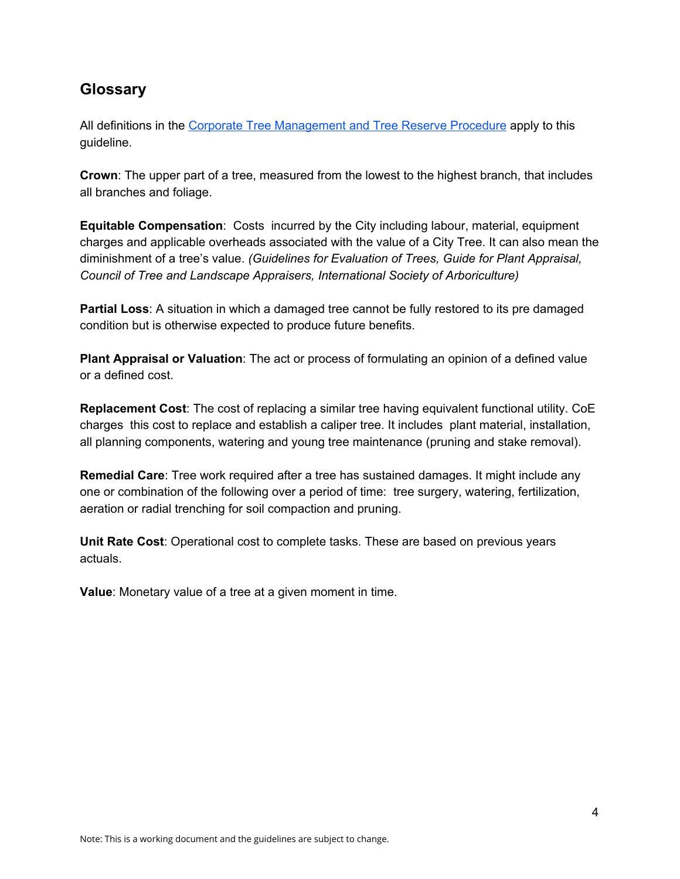## **Glossary**

All definitions in the Corporate Tree [Management](https://www.edmonton.ca/residential_neighbourhoods/PoliciesDirectives/C456B.pdf) and Tree Reserve Procedure apply to this guideline.

**Crown**: The upper part of a tree, measured from the lowest to the highest branch, that includes all branches and foliage.

**Equitable Compensation**: Costs incurred by the City including labour, material, equipment charges and applicable overheads associated with the value of a City Tree. It can also mean the diminishment of a tree's value. *(Guidelines for Evaluation of Trees, Guide for Plant Appraisal, Council of Tree and Landscape Appraisers, International Society of Arboriculture)*

**Partial Loss**: A situation in which a damaged tree cannot be fully restored to its pre damaged condition but is otherwise expected to produce future benefits.

**Plant Appraisal or Valuation**: The act or process of formulating an opinion of a defined value or a defined cost.

**Replacement Cost**: The cost of replacing a similar tree having equivalent functional utility. CoE charges this cost to replace and establish a caliper tree. It includes plant material, installation, all planning components, watering and young tree maintenance (pruning and stake removal).

**Remedial Care**: Tree work required after a tree has sustained damages. It might include any one or combination of the following over a period of time: tree surgery, watering, fertilization, aeration or radial trenching for soil compaction and pruning.

**Unit Rate Cost**: Operational cost to complete tasks. These are based on previous years actuals.

**Value**: Monetary value of a tree at a given moment in time.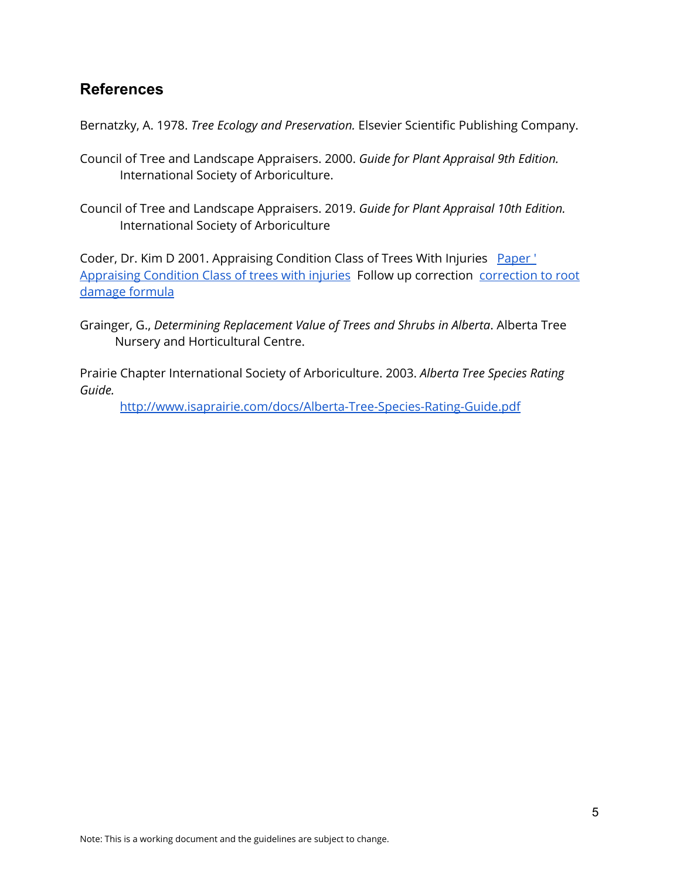## **References**

Bernatzky, A. 1978. *Tree Ecology and Preservation.* Elsevier Scientific Publishing Company.

- Council of Tree and Landscape Appraisers. 2000. *Guide for Plant Appraisal 9th Edition.* International Society of Arboriculture.
- Council of Tree and Landscape Appraisers. 2019. *Guide for Plant Appraisal 10th Edition.* International Society of Arboriculture

Coder, Dr. Kim D 2001. Appraising Condition Class of Trees With Injuries [Paper](https://drive.google.com/drive/folders/10jReMuTS2qelpJ5PcLtI8m8XHwU1GwoD)' [Appraising](https://drive.google.com/drive/folders/10jReMuTS2qelpJ5PcLtI8m8XHwU1GwoD) Condition Class of trees with injuries Follow up correction [correction](https://docs.google.com/document/d/1FuuCraHMV7JhlDsmFVfyhK-PzT6iWFHw98IGkMHgi6w/edit) to root [damage](https://docs.google.com/document/d/1FuuCraHMV7JhlDsmFVfyhK-PzT6iWFHw98IGkMHgi6w/edit) formula

Grainger, G., *Determining Replacement Value of Trees and Shrubs in Alberta*. Alberta Tree Nursery and Horticultural Centre.

Prairie Chapter International Society of Arboriculture. 2003. *Alberta Tree Species Rating Guide.*

<http://www.isaprairie.com/docs/Alberta-Tree-Species-Rating-Guide.pdf>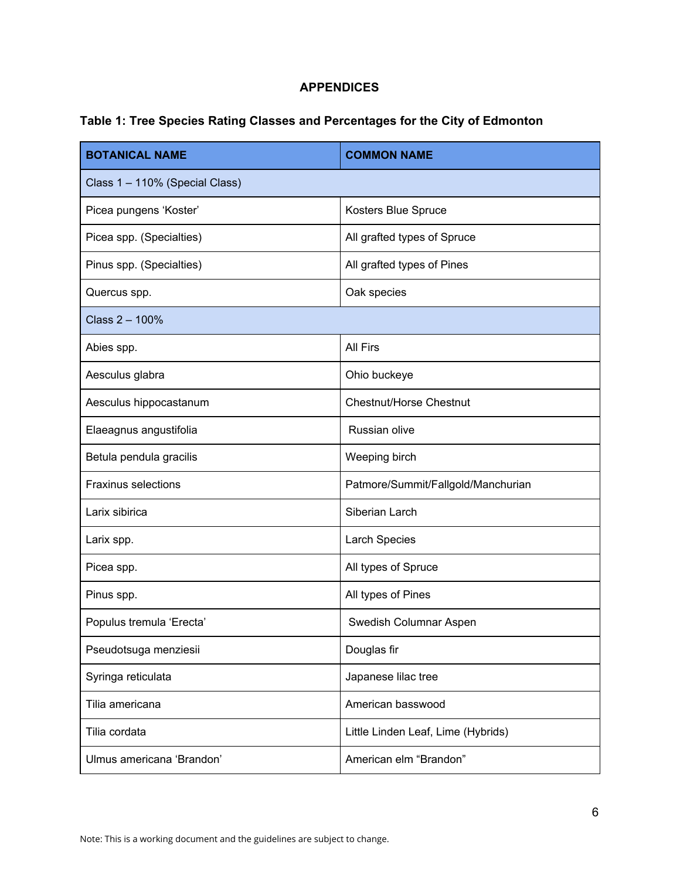#### **APPENDICES**

### **Table 1: Tree Species Rating Classes and Percentages for the City of Edmonton**

| <b>BOTANICAL NAME</b>          | <b>COMMON NAME</b>                 |  |
|--------------------------------|------------------------------------|--|
| Class 1 - 110% (Special Class) |                                    |  |
| Picea pungens 'Koster'         | Kosters Blue Spruce                |  |
| Picea spp. (Specialties)       | All grafted types of Spruce        |  |
| Pinus spp. (Specialties)       | All grafted types of Pines         |  |
| Quercus spp.                   | Oak species                        |  |
| Class 2 - 100%                 |                                    |  |
| Abies spp.                     | All Firs                           |  |
| Aesculus glabra                | Ohio buckeye                       |  |
| Aesculus hippocastanum         | <b>Chestnut/Horse Chestnut</b>     |  |
| Elaeagnus angustifolia         | Russian olive                      |  |
| Betula pendula gracilis        | Weeping birch                      |  |
| Fraxinus selections            | Patmore/Summit/Fallgold/Manchurian |  |
| Larix sibirica                 | Siberian Larch                     |  |
| Larix spp.                     | <b>Larch Species</b>               |  |
| Picea spp.                     | All types of Spruce                |  |
| Pinus spp.                     | All types of Pines                 |  |
| Populus tremula 'Erecta'       | Swedish Columnar Aspen             |  |
| Pseudotsuga menziesii          | Douglas fir                        |  |
| Syringa reticulata             | Japanese lilac tree                |  |
| Tilia americana                | American basswood                  |  |
| Tilia cordata                  | Little Linden Leaf, Lime (Hybrids) |  |
| Ulmus americana 'Brandon'      | American elm "Brandon"             |  |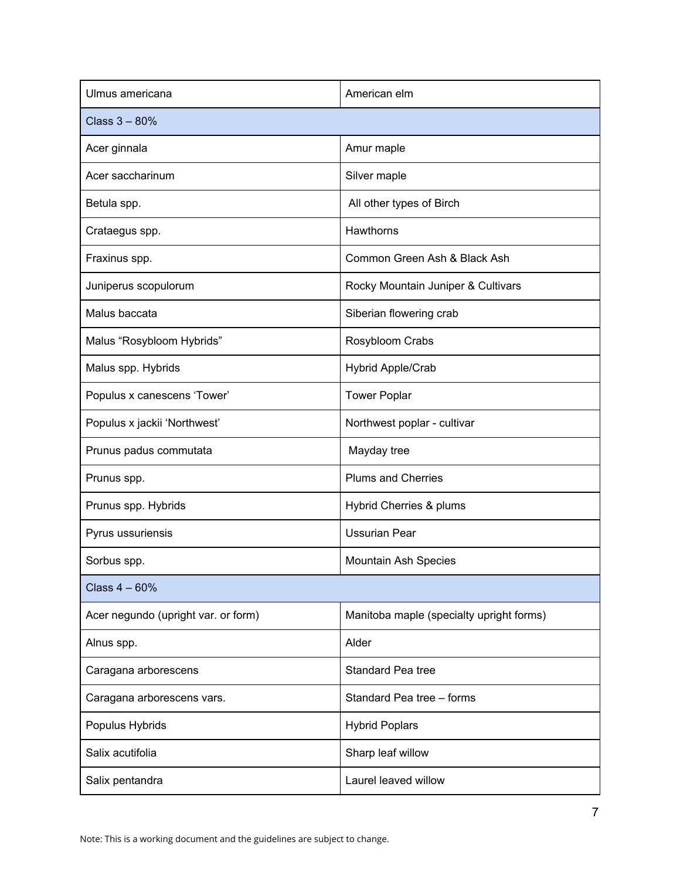| Ulmus americana                     | American elm                             |  |
|-------------------------------------|------------------------------------------|--|
| Class $3 - 80%$                     |                                          |  |
| Acer ginnala                        | Amur maple                               |  |
| Acer saccharinum                    | Silver maple                             |  |
| Betula spp.                         | All other types of Birch                 |  |
| Crataegus spp.                      | Hawthorns                                |  |
| Fraxinus spp.                       | Common Green Ash & Black Ash             |  |
| Juniperus scopulorum                | Rocky Mountain Juniper & Cultivars       |  |
| Malus baccata                       | Siberian flowering crab                  |  |
| Malus "Rosybloom Hybrids"           | Rosybloom Crabs                          |  |
| Malus spp. Hybrids                  | Hybrid Apple/Crab                        |  |
| Populus x canescens 'Tower'         | <b>Tower Poplar</b>                      |  |
| Populus x jackii 'Northwest'        | Northwest poplar - cultivar              |  |
| Prunus padus commutata              | Mayday tree                              |  |
| Prunus spp.                         | <b>Plums and Cherries</b>                |  |
| Prunus spp. Hybrids                 | Hybrid Cherries & plums                  |  |
| Pyrus ussuriensis                   | <b>Ussurian Pear</b>                     |  |
| Sorbus spp.                         | Mountain Ash Species                     |  |
| Class $4 - 60%$                     |                                          |  |
| Acer negundo (upright var. or form) | Manitoba maple (specialty upright forms) |  |
| Alnus spp.                          | Alder                                    |  |
| Caragana arborescens                | Standard Pea tree                        |  |
| Caragana arborescens vars.          | Standard Pea tree - forms                |  |
| Populus Hybrids                     | <b>Hybrid Poplars</b>                    |  |
| Salix acutifolia                    | Sharp leaf willow                        |  |
| Salix pentandra                     | Laurel leaved willow                     |  |